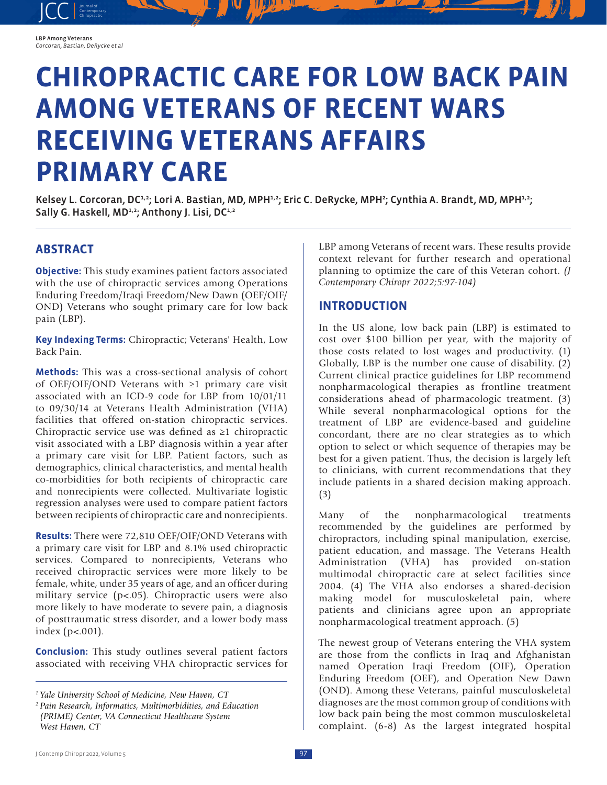JCC contemporary Contemporary

# **CHIROPRACTIC CARE FOR LOW BACK PAIN AMONG VETERANS OF RECENT WARS RECEIVING VETERANS AFFAIRS PRIMARY CARE**

Kelsey L. Corcoran, DC<sup>1,2</sup>; Lori A. Bastian, MD, MPH<sup>1,2</sup>; Eric C. DeRycke, MPH<sup>2</sup>; Cynthia A. Brandt, MD, MPH<sup>1,2</sup>; Sally G. Haskell, MD<sup>1,2</sup>; Anthony J. Lisi, DC<sup>1,2</sup>

# **ABSTRACT**

**Objective:** This study examines patient factors associated with the use of chiropractic services among Operations Enduring Freedom/Iraqi Freedom/New Dawn (OEF/OIF/ OND) Veterans who sought primary care for low back pain (LBP).

**Key Indexing Terms:** Chiropractic; Veterans' Health, Low Back Pain.

**Methods:** This was a cross-sectional analysis of cohort of OEF/OIF/OND Veterans with ≥1 primary care visit associated with an ICD-9 code for LBP from 10/01/11 to 09/30/14 at Veterans Health Administration (VHA) facilities that offered on-station chiropractic services. Chiropractic service use was defined as ≥1 chiropractic visit associated with a LBP diagnosis within a year after a primary care visit for LBP. Patient factors, such as demographics, clinical characteristics, and mental health co-morbidities for both recipients of chiropractic care and nonrecipients were collected. Multivariate logistic regression analyses were used to compare patient factors between recipients of chiropractic care and nonrecipients.

**Results:** There were 72,810 OEF/OIF/OND Veterans with a primary care visit for LBP and 8.1% used chiropractic services. Compared to nonrecipients, Veterans who received chiropractic services were more likely to be female, white, under 35 years of age, and an officer during military service (p<.05). Chiropractic users were also more likely to have moderate to severe pain, a diagnosis of posttraumatic stress disorder, and a lower body mass index (p<.001).

**Conclusion:** This study outlines several patient factors associated with receiving VHA chiropractic services for

*1 Yale University School of Medicine, New Haven, CT*

*2 Pain Research, Informatics, Multimorbidities, and Education (PRIME) Center, VA Connecticut Healthcare System West Haven, CT*

LBP among Veterans of recent wars. These results provide context relevant for further research and operational planning to optimize the care of this Veteran cohort. *(J Contemporary Chiropr 2022;5:97-104)*

## **INTRODUCTION**

In the US alone, low back pain (LBP) is estimated to cost over \$100 billion per year, with the majority of those costs related to lost wages and productivity. (1) Globally, LBP is the number one cause of disability. (2) Current clinical practice guidelines for LBP recommend nonpharmacological therapies as frontline treatment considerations ahead of pharmacologic treatment. (3) While several nonpharmacological options for the treatment of LBP are evidence-based and guideline concordant, there are no clear strategies as to which option to select or which sequence of therapies may be best for a given patient. Thus, the decision is largely left to clinicians, with current recommendations that they include patients in a shared decision making approach. (3)

Many of the nonpharmacological treatments recommended by the guidelines are performed by chiropractors, including spinal manipulation, exercise, patient education, and massage. The Veterans Health Administration (VHA) has provided on-station multimodal chiropractic care at select facilities since 2004. (4) The VHA also endorses a shared-decision making model for musculoskeletal pain, where patients and clinicians agree upon an appropriate nonpharmacological treatment approach. (5)

The newest group of Veterans entering the VHA system are those from the conflicts in Iraq and Afghanistan named Operation Iraqi Freedom (OIF), Operation Enduring Freedom (OEF), and Operation New Dawn (OND). Among these Veterans, painful musculoskeletal diagnoses are the most common group of conditions with low back pain being the most common musculoskeletal complaint. (6-8) As the largest integrated hospital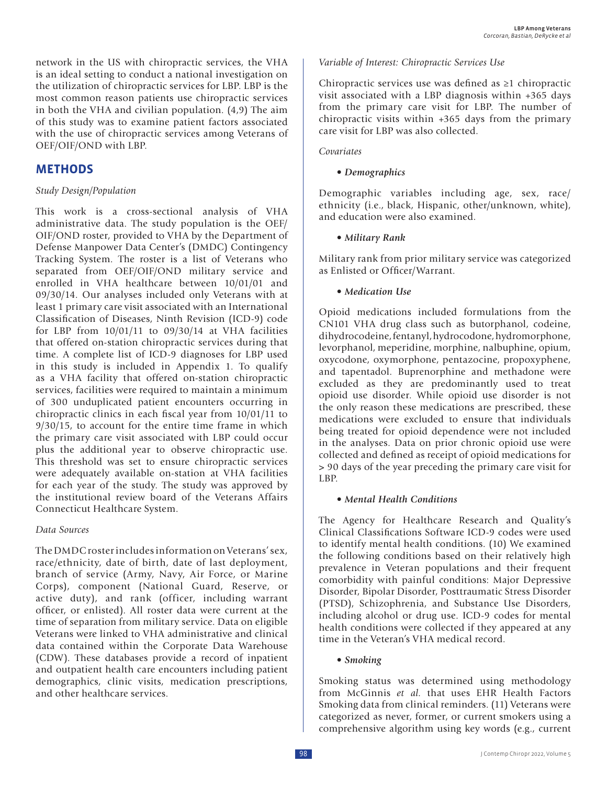network in the US with chiropractic services, the VHA is an ideal setting to conduct a national investigation on the utilization of chiropractic services for LBP. LBP is the most common reason patients use chiropractic services in both the VHA and civilian population. (4,9) The aim of this study was to examine patient factors associated with the use of chiropractic services among Veterans of OEF/OIF/OND with LBP.

## **METHODS**

#### *Study Design/Population*

This work is a cross-sectional analysis of VHA administrative data. The study population is the OEF/ OIF/OND roster, provided to VHA by the Department of Defense Manpower Data Center's (DMDC) Contingency Tracking System. The roster is a list of Veterans who separated from OEF/OIF/OND military service and enrolled in VHA healthcare between 10/01/01 and 09/30/14. Our analyses included only Veterans with at least 1 primary care visit associated with an International Classification of Diseases, Ninth Revision (ICD-9) code for LBP from 10/01/11 to 09/30/14 at VHA facilities that offered on-station chiropractic services during that time. A complete list of ICD-9 diagnoses for LBP used in this study is included in Appendix 1. To qualify as a VHA facility that offered on-station chiropractic services, facilities were required to maintain a minimum of 300 unduplicated patient encounters occurring in chiropractic clinics in each fiscal year from 10/01/11 to 9/30/15, to account for the entire time frame in which the primary care visit associated with LBP could occur plus the additional year to observe chiropractic use. This threshold was set to ensure chiropractic services were adequately available on-station at VHA facilities for each year of the study. The study was approved by the institutional review board of the Veterans Affairs Connecticut Healthcare System.

#### *Data Sources*

The DMDC roster includes information on Veterans' sex, race/ethnicity, date of birth, date of last deployment, branch of service (Army, Navy, Air Force, or Marine Corps), component (National Guard, Reserve, or active duty), and rank (officer, including warrant officer, or enlisted). All roster data were current at the time of separation from military service. Data on eligible Veterans were linked to VHA administrative and clinical data contained within the Corporate Data Warehouse (CDW). These databases provide a record of inpatient and outpatient health care encounters including patient demographics, clinic visits, medication prescriptions, and other healthcare services.

*Variable of Interest: Chiropractic Services Use*

Chiropractic services use was defined as ≥1 chiropractic visit associated with a LBP diagnosis within +365 days from the primary care visit for LBP. The number of chiropractic visits within +365 days from the primary care visit for LBP was also collected.

#### *Covariates*

*• Demographics*

Demographic variables including age, sex, race/ ethnicity (i.e., black, Hispanic, other/unknown, white), and education were also examined.

*• Military Rank*

Military rank from prior military service was categorized as Enlisted or Officer/Warrant.

#### *• Medication Use*

Opioid medications included formulations from the CN101 VHA drug class such as butorphanol, codeine, dihydrocodeine, fentanyl, hydrocodone, hydromorphone, levorphanol, meperidine, morphine, nalbuphine, opium, oxycodone, oxymorphone, pentazocine, propoxyphene, and tapentadol. Buprenorphine and methadone were excluded as they are predominantly used to treat opioid use disorder. While opioid use disorder is not the only reason these medications are prescribed, these medications were excluded to ensure that individuals being treated for opioid dependence were not included in the analyses. Data on prior chronic opioid use were collected and defined as receipt of opioid medications for > 90 days of the year preceding the primary care visit for LBP.

#### *• Mental Health Conditions*

The Agency for Healthcare Research and Quality's Clinical Classifications Software ICD-9 codes were used to identify mental health conditions. (10) We examined the following conditions based on their relatively high prevalence in Veteran populations and their frequent comorbidity with painful conditions: Major Depressive Disorder, Bipolar Disorder, Posttraumatic Stress Disorder (PTSD), Schizophrenia, and Substance Use Disorders, including alcohol or drug use. ICD-9 codes for mental health conditions were collected if they appeared at any time in the Veteran's VHA medical record.

*• Smoking*

Smoking status was determined using methodology from McGinnis *et al*. that uses EHR Health Factors Smoking data from clinical reminders. (11) Veterans were categorized as never, former, or current smokers using a comprehensive algorithm using key words (e.g., current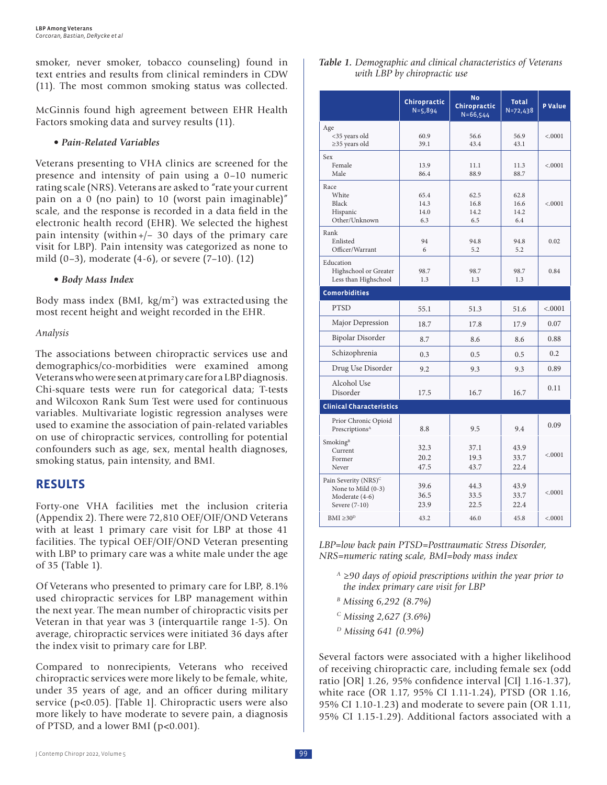smoker, never smoker, tobacco counseling) found in text entries and results from clinical reminders in CDW (11). The most common smoking status was collected.

McGinnis found high agreement between EHR Health Factors smoking data and survey results (11).

#### *• Pain-Related Variables*

Veterans presenting to VHA clinics are screened for the presence and intensity of pain using a 0–10 numeric rating scale (NRS). Veterans are asked to "rate your current pain on a 0 (no pain) to 10 (worst pain imaginable)" scale, and the response is recorded in a data field in the electronic health record (EHR). We selected the highest pain intensity (within+/− 30 days of the primary care visit for LBP). Pain intensity was categorized as none to mild (0–3), moderate (4-6), or severe (7–10). (12)

#### *• Body Mass Index*

Body mass index (BMI,  $\text{kg/m}^2$ ) was extracted using the most recent height and weight recorded in the EHR.

#### *Analysis*

The associations between chiropractic services use and demographics/co-morbidities were examined among Veterans who were seen at primary care for a LBP diagnosis. Chi-square tests were run for categorical data; T-tests and Wilcoxon Rank Sum Test were used for continuous variables. Multivariate logistic regression analyses were used to examine the association of pain-related variables on use of chiropractic services, controlling for potential confounders such as age, sex, mental health diagnoses, smoking status, pain intensity, and BMI.

## **RESULTS**

Forty-one VHA facilities met the inclusion criteria (Appendix 2). There were 72,810 OEF/OIF/OND Veterans with at least 1 primary care visit for LBP at those 41 facilities. The typical OEF/OIF/OND Veteran presenting with LBP to primary care was a white male under the age of 35 (Table 1).

Of Veterans who presented to primary care for LBP, 8.1% used chiropractic services for LBP management within the next year. The mean number of chiropractic visits per Veteran in that year was 3 (interquartile range 1-5). On average, chiropractic services were initiated 36 days after the index visit to primary care for LBP.

Compared to nonrecipients, Veterans who received chiropractic services were more likely to be female, white, under 35 years of age, and an officer during military service (p<0.05). [Table 1]. Chiropractic users were also more likely to have moderate to severe pain, a diagnosis of PTSD, and a lower BMI (p<0.001).

#### *Table 1. Demographic and clinical characteristics of Veterans with LBP by chiropractic use*

|                                                                                           | <b>Chiropractic</b><br>$N = 5,894$ | <b>No</b><br>Chiropractic<br>$N = 66, 544$ | <b>Total</b><br>$N = 72,438$ | <b>P</b> Value |
|-------------------------------------------------------------------------------------------|------------------------------------|--------------------------------------------|------------------------------|----------------|
| Age<br><35 years old<br>$\geq$ 35 years old                                               | 60.9<br>39.1                       | 56.6<br>43.4                               | 56.9<br>43.1                 | < .0001        |
| Sex<br>Female<br>Male                                                                     | 13.9<br>86.4                       | 11.1<br>88.9                               | 11.3<br>88.7                 | < .0001        |
| Race<br>White<br>Black<br>Hispanic<br>Other/Unknown                                       | 65.4<br>14.3<br>14.0<br>6.3        | 62.5<br>16.8<br>14.2<br>6.5                | 62.8<br>16.6<br>14.2<br>6.4  | < .0001        |
| Rank<br>Enlisted<br>Officer/Warrant                                                       | 94<br>6                            | 94.8<br>5.2                                | 94.8<br>5.2                  | 0.02           |
| Education<br>Highschool or Greater<br>Less than Highschool                                | 98.7<br>1.3                        | 98.7<br>1.3                                | 98.7<br>1.3                  | 0.84           |
| <b>Comorbidities</b>                                                                      |                                    |                                            |                              |                |
| <b>PTSD</b>                                                                               | 55.1                               | 51.3                                       | 51.6                         | < .0001        |
| Major Depression                                                                          | 18.7                               | 17.8                                       | 17.9                         | 0.07           |
| <b>Bipolar Disorder</b>                                                                   | 8.7                                | 8.6                                        | 8.6                          | 0.88           |
| Schizophrenia                                                                             | 0.3                                | 0.5                                        | 0.5                          | 0.2            |
| Drug Use Disorder                                                                         | 9.2                                | 9.3                                        | 9.3                          | 0.89           |
| Alcohol Use<br>Disorder                                                                   | 17.5                               | 16.7                                       | 16.7                         | 0.11           |
| <b>Clinical Characteristics</b>                                                           |                                    |                                            |                              |                |
| Prior Chronic Opioid<br>Prescriptions <sup>A</sup>                                        | 8.8                                | 9.5                                        | 9.4                          | 0.09           |
| Smoking <sup>B</sup><br>Current<br>Former<br>Never                                        | 32.3<br>20.2<br>47.5               | 37.1<br>19.3<br>43.7                       | 43.9<br>33.7<br>22.4         | < .0001        |
| Pain Severity (NRS) <sup>C</sup><br>None to Mild (0-3)<br>Moderate (4-6)<br>Severe (7-10) | 39.6<br>36.5<br>23.9               | 44.3<br>33.5<br>22.5                       | 43.9<br>33.7<br>22.4         | < .0001        |
| $BMI \geq 30^D$                                                                           | 43.2                               | 46.0                                       | 45.8                         | < .0001        |

*LBP=low back pain PTSD=Posttraumatic Stress Disorder, NRS=numeric rating scale, BMI=body mass index*

- *A ≥90 days of opioid prescriptions within the year prior to the index primary care visit for LBP*
- *B Missing 6,292 (8.7%)*
- *C Missing 2,627 (3.6%)*
- *D Missing 641 (0.9%)*

Several factors were associated with a higher likelihood of receiving chiropractic care, including female sex (odd ratio [OR] 1.26, 95% confidence interval [CI] 1.16-1.37), white race (OR 1.17, 95% CI 1.11-1.24), PTSD (OR 1.16, 95% CI 1.10-1.23) and moderate to severe pain (OR 1.11, 95% CI 1.15-1.29). Additional factors associated with a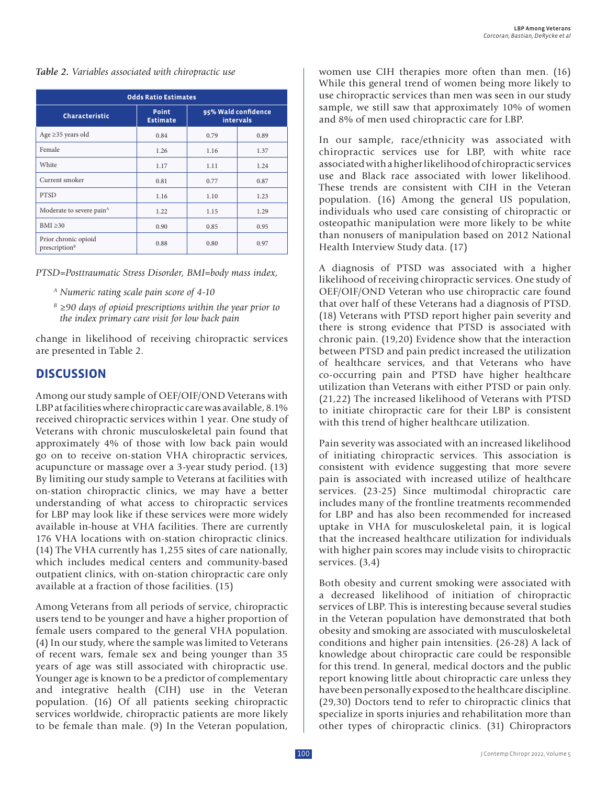| <b>Odds Ratio Estimates</b>                       |                          |                                         |      |  |  |  |
|---------------------------------------------------|--------------------------|-----------------------------------------|------|--|--|--|
| Characteristic                                    | Point<br><b>Estimate</b> | 95% Wald confidence<br><b>intervals</b> |      |  |  |  |
| Age $\geq$ 35 years old                           | 0.84                     | 0.79                                    | 0.89 |  |  |  |
| Female                                            | 1.26                     | 1.16                                    | 1.37 |  |  |  |
| White                                             | 1.17                     | 1.11                                    | 1.24 |  |  |  |
| Current smoker                                    | 0.81                     | 0.77                                    | 0.87 |  |  |  |
| <b>PTSD</b>                                       | 1.16                     | 1.10                                    | 1.23 |  |  |  |
| Moderate to severe pain <sup>A</sup>              | 1.22                     | 1.15                                    | 1.29 |  |  |  |
| $BMI \geq 30$                                     | 0.90                     | 0.85                                    | 0.95 |  |  |  |
| Prior chronic opioid<br>prescription <sup>B</sup> | 0.88                     | 0.80                                    | 0.97 |  |  |  |

*Table 2. Variables associated with chiropractic use*

*PTSD=Posttraumatic Stress Disorder, BMI=body mass index,* 

*A Numeric rating scale pain score of 4-10*

*B ≥90 days of opioid prescriptions within the year prior to the index primary care visit for low back pain*

change in likelihood of receiving chiropractic services are presented in Table 2.

## **DISCUSSION**

Among our study sample of OEF/OIF/OND Veterans with LBP at facilities where chiropractic care was available, 8.1% received chiropractic services within 1 year. One study of Veterans with chronic musculoskeletal pain found that approximately 4% of those with low back pain would go on to receive on-station VHA chiropractic services, acupuncture or massage over a 3-year study period. (13) By limiting our study sample to Veterans at facilities with on-station chiropractic clinics, we may have a better understanding of what access to chiropractic services for LBP may look like if these services were more widely available in-house at VHA facilities. There are currently 176 VHA locations with on-station chiropractic clinics. (14) The VHA currently has 1,255 sites of care nationally, which includes medical centers and community-based outpatient clinics, with on-station chiropractic care only available at a fraction of those facilities. (15)

Among Veterans from all periods of service, chiropractic users tend to be younger and have a higher proportion of female users compared to the general VHA population. (4) In our study, where the sample was limited to Veterans of recent wars, female sex and being younger than 35 years of age was still associated with chiropractic use. Younger age is known to be a predictor of complementary and integrative health (CIH) use in the Veteran population. (16) Of all patients seeking chiropractic services worldwide, chiropractic patients are more likely to be female than male. (9) In the Veteran population,

women use CIH therapies more often than men. (16) While this general trend of women being more likely to use chiropractic services than men was seen in our study sample, we still saw that approximately 10% of women and 8% of men used chiropractic care for LBP.

In our sample, race/ethnicity was associated with chiropractic services use for LBP, with white race associated with a higher likelihood of chiropractic services use and Black race associated with lower likelihood. These trends are consistent with CIH in the Veteran population. (16) Among the general US population, individuals who used care consisting of chiropractic or osteopathic manipulation were more likely to be white than nonusers of manipulation based on 2012 National Health Interview Study data. (17)

A diagnosis of PTSD was associated with a higher likelihood of receiving chiropractic services. One study of OEF/OIF/OND Veteran who use chiropractic care found that over half of these Veterans had a diagnosis of PTSD. (18) Veterans with PTSD report higher pain severity and there is strong evidence that PTSD is associated with chronic pain. (19,20) Evidence show that the interaction between PTSD and pain predict increased the utilization of healthcare services, and that Veterans who have co-occurring pain and PTSD have higher healthcare utilization than Veterans with either PTSD or pain only. (21,22) The increased likelihood of Veterans with PTSD to initiate chiropractic care for their LBP is consistent with this trend of higher healthcare utilization.

Pain severity was associated with an increased likelihood of initiating chiropractic services. This association is consistent with evidence suggesting that more severe pain is associated with increased utilize of healthcare services. (23-25) Since multimodal chiropractic care includes many of the frontline treatments recommended for LBP and has also been recommended for increased uptake in VHA for musculoskeletal pain, it is logical that the increased healthcare utilization for individuals with higher pain scores may include visits to chiropractic services. (3,4)

Both obesity and current smoking were associated with a decreased likelihood of initiation of chiropractic services of LBP. This is interesting because several studies in the Veteran population have demonstrated that both obesity and smoking are associated with musculoskeletal conditions and higher pain intensities. (26-28) A lack of knowledge about chiropractic care could be responsible for this trend. In general, medical doctors and the public report knowing little about chiropractic care unless they have been personally exposed to the healthcare discipline. (29,30) Doctors tend to refer to chiropractic clinics that specialize in sports injuries and rehabilitation more than other types of chiropractic clinics. (31) Chiropractors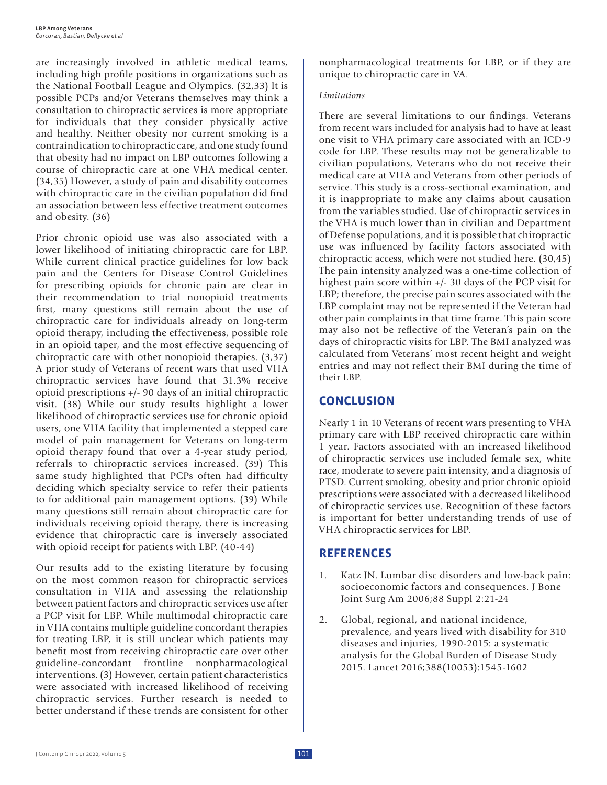are increasingly involved in athletic medical teams, including high profile positions in organizations such as the National Football League and Olympics. (32,33) It is possible PCPs and/or Veterans themselves may think a consultation to chiropractic services is more appropriate for individuals that they consider physically active and healthy. Neither obesity nor current smoking is a contraindication to chiropractic care, and one study found that obesity had no impact on LBP outcomes following a course of chiropractic care at one VHA medical center. (34,35) However, a study of pain and disability outcomes with chiropractic care in the civilian population did find an association between less effective treatment outcomes and obesity. (36)

Prior chronic opioid use was also associated with a lower likelihood of initiating chiropractic care for LBP. While current clinical practice guidelines for low back pain and the Centers for Disease Control Guidelines for prescribing opioids for chronic pain are clear in their recommendation to trial nonopioid treatments first, many questions still remain about the use of chiropractic care for individuals already on long-term opioid therapy, including the effectiveness, possible role in an opioid taper, and the most effective sequencing of chiropractic care with other nonopioid therapies. (3,37) A prior study of Veterans of recent wars that used VHA chiropractic services have found that 31.3% receive opioid prescriptions +/- 90 days of an initial chiropractic visit. (38) While our study results highlight a lower likelihood of chiropractic services use for chronic opioid users, one VHA facility that implemented a stepped care model of pain management for Veterans on long-term opioid therapy found that over a 4-year study period, referrals to chiropractic services increased. (39) This same study highlighted that PCPs often had difficulty deciding which specialty service to refer their patients to for additional pain management options. (39) While many questions still remain about chiropractic care for individuals receiving opioid therapy, there is increasing evidence that chiropractic care is inversely associated with opioid receipt for patients with LBP. (40-44)

Our results add to the existing literature by focusing on the most common reason for chiropractic services consultation in VHA and assessing the relationship between patient factors and chiropractic services use after a PCP visit for LBP. While multimodal chiropractic care in VHA contains multiple guideline concordant therapies for treating LBP, it is still unclear which patients may benefit most from receiving chiropractic care over other guideline-concordant frontline nonpharmacological interventions. (3) However, certain patient characteristics were associated with increased likelihood of receiving chiropractic services. Further research is needed to better understand if these trends are consistent for other

nonpharmacological treatments for LBP, or if they are unique to chiropractic care in VA.

#### *Limitations*

There are several limitations to our findings. Veterans from recent wars included for analysis had to have at least one visit to VHA primary care associated with an ICD-9 code for LBP. These results may not be generalizable to civilian populations, Veterans who do not receive their medical care at VHA and Veterans from other periods of service. This study is a cross-sectional examination, and it is inappropriate to make any claims about causation from the variables studied. Use of chiropractic services in the VHA is much lower than in civilian and Department of Defense populations, and it is possible that chiropractic use was influenced by facility factors associated with chiropractic access, which were not studied here. (30,45) The pain intensity analyzed was a one-time collection of highest pain score within +/- 30 days of the PCP visit for LBP; therefore, the precise pain scores associated with the LBP complaint may not be represented if the Veteran had other pain complaints in that time frame. This pain score may also not be reflective of the Veteran's pain on the days of chiropractic visits for LBP. The BMI analyzed was calculated from Veterans' most recent height and weight entries and may not reflect their BMI during the time of their LBP.

## **CONCLUSION**

Nearly 1 in 10 Veterans of recent wars presenting to VHA primary care with LBP received chiropractic care within 1 year. Factors associated with an increased likelihood of chiropractic services use included female sex, white race, moderate to severe pain intensity, and a diagnosis of PTSD. Current smoking, obesity and prior chronic opioid prescriptions were associated with a decreased likelihood of chiropractic services use. Recognition of these factors is important for better understanding trends of use of VHA chiropractic services for LBP.

## **REFERENCES**

- 1. Katz JN. Lumbar disc disorders and low-back pain: socioeconomic factors and consequences. J Bone Joint Surg Am 2006;88 Suppl 2:21-24
- 2. Global, regional, and national incidence, prevalence, and years lived with disability for 310 diseases and injuries, 1990-2015: a systematic analysis for the Global Burden of Disease Study 2015. Lancet 2016;388(10053):1545-1602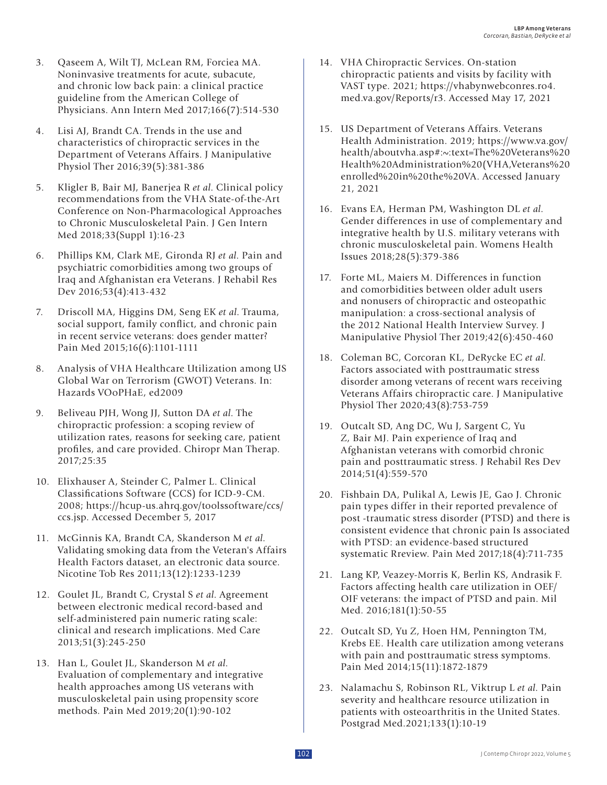- 3. Qaseem A, Wilt TJ, McLean RM, Forciea MA. Noninvasive treatments for acute, subacute, and chronic low back pain: a clinical practice guideline from the American College of Physicians. Ann Intern Med 2017;166(7):514-530
- 4. Lisi AJ, Brandt CA. Trends in the use and characteristics of chiropractic services in the Department of Veterans Affairs. J Manipulative Physiol Ther 2016;39(5):381-386
- 5. Kligler B, Bair MJ, Banerjea R *et al*. Clinical policy recommendations from the VHA State-of-the-Art Conference on Non-Pharmacological Approaches to Chronic Musculoskeletal Pain. J Gen Intern Med 2018;33(Suppl 1):16-23
- 6. Phillips KM, Clark ME, Gironda RJ *et al*. Pain and psychiatric comorbidities among two groups of Iraq and Afghanistan era Veterans. J Rehabil Res Dev 2016;53(4):413-432
- 7. Driscoll MA, Higgins DM, Seng EK *et al*. Trauma, social support, family conflict, and chronic pain in recent service veterans: does gender matter? Pain Med 2015;16(6):1101-1111
- 8. Analysis of VHA Healthcare Utilization among US Global War on Terrorism (GWOT) Veterans. In: Hazards VOoPHaE, ed2009
- 9. Beliveau PJH, Wong JJ, Sutton DA *et al*. The chiropractic profession: a scoping review of utilization rates, reasons for seeking care, patient profiles, and care provided. Chiropr Man Therap. 2017;25:35
- 10. Elixhauser A, Steinder C, Palmer L. Clinical Classifications Software (CCS) for ICD-9-CM. 2008; https://hcup-us.ahrq.gov/toolssoftware/ccs/ ccs.jsp. Accessed December 5, 2017
- 11. McGinnis KA, Brandt CA, Skanderson M *et al*. Validating smoking data from the Veteran's Affairs Health Factors dataset, an electronic data source. Nicotine Tob Res 2011;13(12):1233-1239
- 12. Goulet JL, Brandt C, Crystal S *et al*. Agreement between electronic medical record-based and self-administered pain numeric rating scale: clinical and research implications. Med Care 2013;51(3):245-250
- 13. Han L, Goulet JL, Skanderson M *et al*. Evaluation of complementary and integrative health approaches among US veterans with musculoskeletal pain using propensity score methods. Pain Med 2019;20(1):90-102
- 14. VHA Chiropractic Services. On-station chiropractic patients and visits by facility with VAST type. 2021; https://vhabynwebconres.ro4. med.va.gov/Reports/r3. Accessed May 17, 2021
- 15. US Department of Veterans Affairs. Veterans Health Administration. 2019; https://www.va.gov/ health/aboutvha.asp#:~:text=The%20Veterans%20 Health%20Administration%20(VHA,Veterans%20 enrolled%20in%20the%20VA. Accessed January 21, 2021
- 16. Evans EA, Herman PM, Washington DL *et al*. Gender differences in use of complementary and integrative health by U.S. military veterans with chronic musculoskeletal pain. Womens Health Issues 2018;28(5):379-386
- 17. Forte ML, Maiers M. Differences in function and comorbidities between older adult users and nonusers of chiropractic and osteopathic manipulation: a cross-sectional analysis of the 2012 National Health Interview Survey. J Manipulative Physiol Ther 2019;42(6):450-460
- 18. Coleman BC, Corcoran KL, DeRycke EC *et al*. Factors associated with posttraumatic stress disorder among veterans of recent wars receiving Veterans Affairs chiropractic care. J Manipulative Physiol Ther 2020;43(8):753-759
- 19. Outcalt SD, Ang DC, Wu J, Sargent C, Yu Z, Bair MJ. Pain experience of Iraq and Afghanistan veterans with comorbid chronic pain and posttraumatic stress. J Rehabil Res Dev 2014;51(4):559-570
- 20. Fishbain DA, Pulikal A, Lewis JE, Gao J. Chronic pain types differ in their reported prevalence of post -traumatic stress disorder (PTSD) and there is consistent evidence that chronic pain Is associated with PTSD: an evidence-based structured systematic Rreview. Pain Med 2017;18(4):711-735
- 21. Lang KP, Veazey-Morris K, Berlin KS, Andrasik F. Factors affecting health care utilization in OEF/ OIF veterans: the impact of PTSD and pain. Mil Med. 2016;181(1):50-55
- 22. Outcalt SD, Yu Z, Hoen HM, Pennington TM, Krebs EE. Health care utilization among veterans with pain and posttraumatic stress symptoms. Pain Med 2014;15(11):1872-1879
- 23. Nalamachu S, Robinson RL, Viktrup L *et al*. Pain severity and healthcare resource utilization in patients with osteoarthritis in the United States. Postgrad Med.2021;133(1):10-19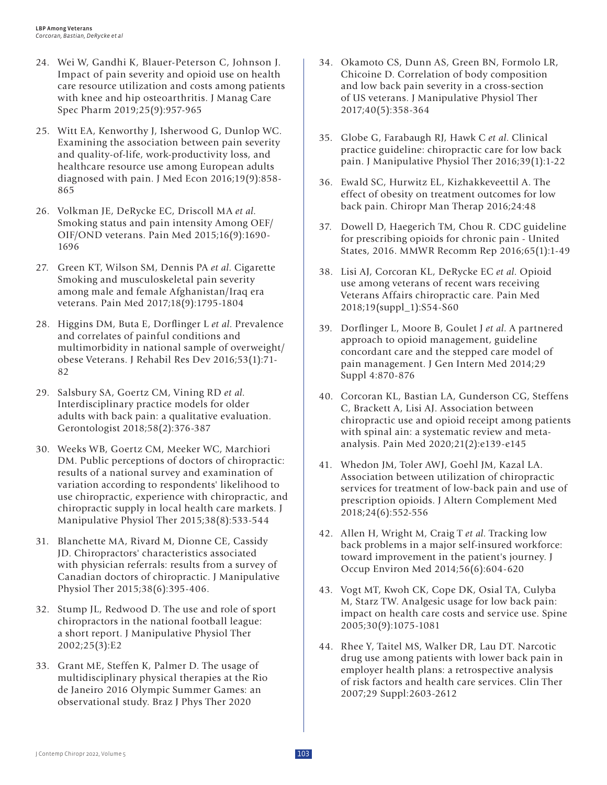- 24. Wei W, Gandhi K, Blauer-Peterson C, Johnson J. Impact of pain severity and opioid use on health care resource utilization and costs among patients with knee and hip osteoarthritis. J Manag Care Spec Pharm 2019;25(9):957-965
- 25. Witt EA, Kenworthy J, Isherwood G, Dunlop WC. Examining the association between pain severity and quality-of-life, work-productivity loss, and healthcare resource use among European adults diagnosed with pain. J Med Econ 2016;19(9):858- 865
- 26. Volkman JE, DeRycke EC, Driscoll MA *et al*. Smoking status and pain intensity Among OEF/ OIF/OND veterans. Pain Med 2015;16(9):1690- 1696
- 27. Green KT, Wilson SM, Dennis PA *et al*. Cigarette Smoking and musculoskeletal pain severity among male and female Afghanistan/Iraq era veterans. Pain Med 2017;18(9):1795-1804
- 28. Higgins DM, Buta E, Dorflinger L *et al*. Prevalence and correlates of painful conditions and multimorbidity in national sample of overweight/ obese Veterans. J Rehabil Res Dev 2016;53(1):71- 82
- 29. Salsbury SA, Goertz CM, Vining RD *et al*. Interdisciplinary practice models for older adults with back pain: a qualitative evaluation. Gerontologist 2018;58(2):376-387
- 30. Weeks WB, Goertz CM, Meeker WC, Marchiori DM. Public perceptions of doctors of chiropractic: results of a national survey and examination of variation according to respondents' likelihood to use chiropractic, experience with chiropractic, and chiropractic supply in local health care markets. J Manipulative Physiol Ther 2015;38(8):533-544
- 31. Blanchette MA, Rivard M, Dionne CE, Cassidy JD. Chiropractors' characteristics associated with physician referrals: results from a survey of Canadian doctors of chiropractic. J Manipulative Physiol Ther 2015;38(6):395-406.
- 32. Stump JL, Redwood D. The use and role of sport chiropractors in the national football league: a short report. J Manipulative Physiol Ther 2002;25(3):E2
- 33. Grant ME, Steffen K, Palmer D. The usage of multidisciplinary physical therapies at the Rio de Janeiro 2016 Olympic Summer Games: an observational study. Braz J Phys Ther 2020
- 34. Okamoto CS, Dunn AS, Green BN, Formolo LR, Chicoine D. Correlation of body composition and low back pain severity in a cross-section of US veterans. J Manipulative Physiol Ther 2017;40(5):358-364
- 35. Globe G, Farabaugh RJ, Hawk C *et al*. Clinical practice guideline: chiropractic care for low back pain. J Manipulative Physiol Ther 2016;39(1):1-22
- 36. Ewald SC, Hurwitz EL, Kizhakkeveettil A. The effect of obesity on treatment outcomes for low back pain. Chiropr Man Therap 2016;24:48
- 37. Dowell D, Haegerich TM, Chou R. CDC guideline for prescribing opioids for chronic pain - United States, 2016. MMWR Recomm Rep 2016;65(1):1-49
- 38. Lisi AJ, Corcoran KL, DeRycke EC *et al*. Opioid use among veterans of recent wars receiving Veterans Affairs chiropractic care. Pain Med 2018;19(suppl\_1):S54-S60
- 39. Dorflinger L, Moore B, Goulet J *et al*. A partnered approach to opioid management, guideline concordant care and the stepped care model of pain management. J Gen Intern Med 2014;29 Suppl 4:870-876
- 40. Corcoran KL, Bastian LA, Gunderson CG, Steffens C, Brackett A, Lisi AJ. Association between chiropractic use and opioid receipt among patients with spinal ain: a systematic review and metaanalysis. Pain Med 2020;21(2):e139-e145
- 41. Whedon JM, Toler AWJ, Goehl JM, Kazal LA. Association between utilization of chiropractic services for treatment of low-back pain and use of prescription opioids. J Altern Complement Med 2018;24(6):552-556
- 42. Allen H, Wright M, Craig T *et al*. Tracking low back problems in a major self-insured workforce: toward improvement in the patient's journey. J Occup Environ Med 2014;56(6):604-620
- 43. Vogt MT, Kwoh CK, Cope DK, Osial TA, Culyba M, Starz TW. Analgesic usage for low back pain: impact on health care costs and service use. Spine 2005;30(9):1075-1081
- 44. Rhee Y, Taitel MS, Walker DR, Lau DT. Narcotic drug use among patients with lower back pain in employer health plans: a retrospective analysis of risk factors and health care services. Clin Ther 2007;29 Suppl:2603-2612